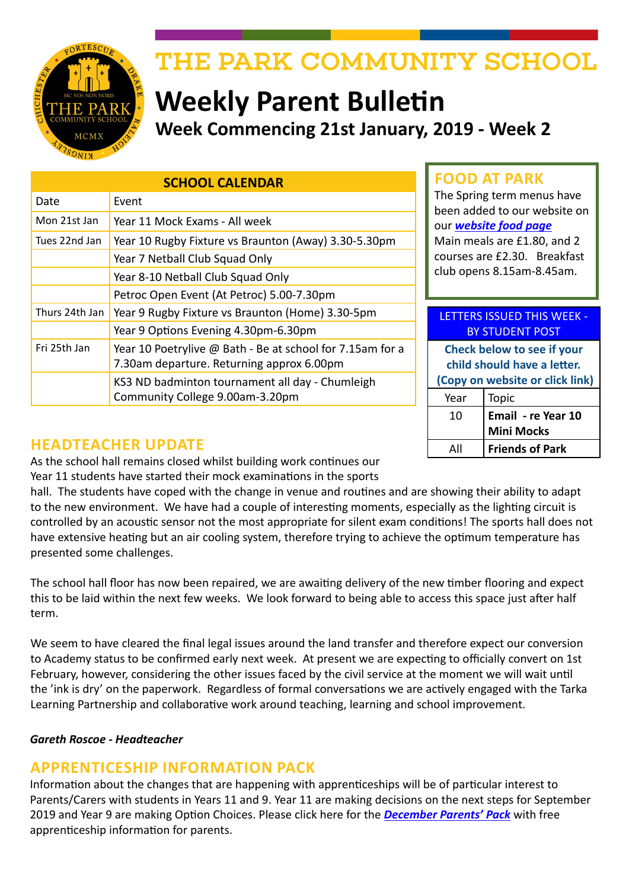

# THE PARK COMMUNITY SCHOOL

## **Weekly Parent Bulletin Week Commencing 21st January, 2019 - Week 2**

| <b>SCHOOL CALENDAR</b> |                                                           |  |
|------------------------|-----------------------------------------------------------|--|
| Date                   | Event                                                     |  |
| Mon 21st Jan           | Year 11 Mock Exams - All week                             |  |
| Tues 22nd Jan          | Year 10 Rugby Fixture vs Braunton (Away) 3.30-5.30pm      |  |
|                        | Year 7 Netball Club Squad Only                            |  |
|                        | Year 8-10 Netball Club Squad Only                         |  |
|                        | Petroc Open Event (At Petroc) 5.00-7.30pm                 |  |
| Thurs 24th Jan         | Year 9 Rugby Fixture vs Braunton (Home) 3.30-5pm          |  |
|                        | Year 9 Options Evening 4.30pm-6.30pm                      |  |
| Fri 25th Jan           | Year 10 Poetrylive @ Bath - Be at school for 7.15am for a |  |
|                        | 7.30am departure. Returning approx 6.00pm                 |  |
|                        | KS3 ND badminton tournament all day - Chumleigh           |  |
|                        | Community College 9.00am-3.20pm                           |  |

## **FOOD AT PARK**

The Spring term menus have been added to our website on our *[website food page](http://www.theparkschool.org.uk/food-park)* Main meals are £1.80, and 2 courses are £2.30. Breakfast club opens 8.15am-8.45am.

#### LETTERS ISSUED THIS WEEK - BY STUDENT POST

**Check below to see if your child should have a letter. (Copy on website or click link)** Year | Topic 10 **Email - re Year 10 Mini Mocks** All **Friends of Park**

## **HEADTEACHER UPDATE**

As the school hall remains closed whilst building work continues our Year 11 students have started their mock examinations in the sports

hall. The students have coped with the change in venue and routines and are showing their ability to adapt to the new environment. We have had a couple of interesting moments, especially as the lighting circuit is controlled by an acoustic sensor not the most appropriate for silent exam conditions! The sports hall does not have extensive heating but an air cooling system, therefore trying to achieve the optimum temperature has presented some challenges.

The school hall floor has now been repaired, we are awaiting delivery of the new timber flooring and expect this to be laid within the next few weeks. We look forward to being able to access this space just after half term.

We seem to have cleared the final legal issues around the land transfer and therefore expect our conversion to Academy status to be confirmed early next week. At present we are expecting to officially convert on 1st February, however, considering the other issues faced by the civil service at the moment we will wait until the 'ink is dry' on the paperwork. Regardless of formal conversations we are actively engaged with the Tarka Learning Partnership and collaborative work around teaching, learning and school improvement.

## *Gareth Roscoe - Headteacher*

## **APPRENTICESHIP INFORMATION PACK**

Information about the changes that are happening with apprenticeships will be of particular interest to Parents/Carers with students in Years 11 and 9. Year 11 are making decisions on the next steps for September 2019 and Year 9 are making Option Choices. Please click here for the *[December Parents' Pack](https://amazingapprenticeships.com/app/uploads/2018/12/Parent-Pack-December.pdf)* with free apprenticeship information for parents.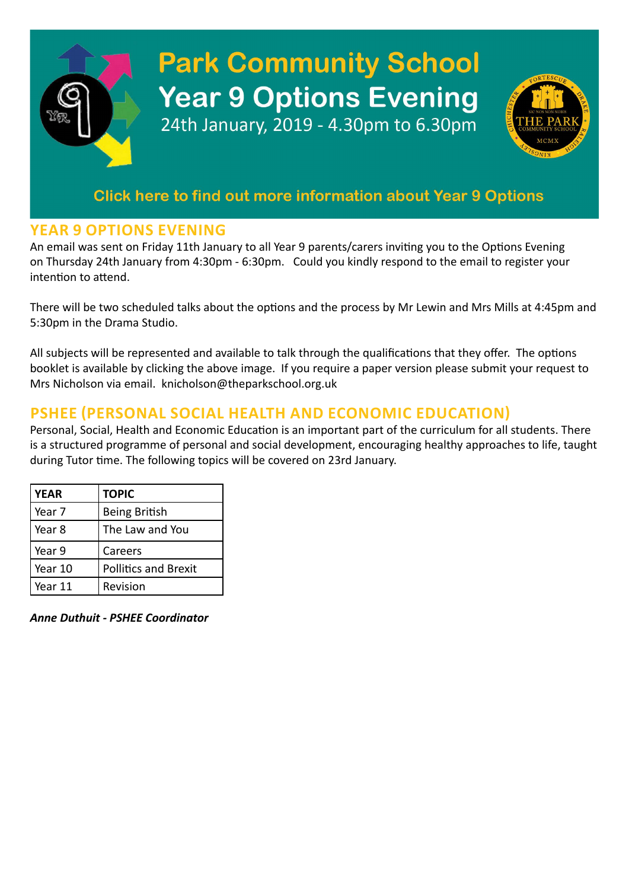# **Park Community School Year 9 Options Evening** 24th January, 2019 - 4.30pm to 6.30pm

## Click here to find out more information about Year 9 Options

## **YEAR 9 OPTIONS EVENING**

An email was sent on Friday 11th January to all Year 9 parents/carers inviting you to the Options Evening on Thursday 24th January from 4:30pm - 6:30pm. Could you kindly respond to the email to register your intention to attend.

There will be two scheduled talks about the options and the process by Mr Lewin and Mrs Mills at 4:45pm and 5:30pm in the Drama Studio.

All subjects will be represented and available to talk through the qualifications that they offer. The options booklet is available by clicking the above image. If you require a paper version please submit your request to Mrs Nicholson via email. knicholson@theparkschool.org.uk

## **PSHEE (PERSONAL SOCIAL HEALTH AND ECONOMIC EDUCATION)**

Personal, Social, Health and Economic Education is an important part of the curriculum for all students. There is a structured programme of personal and social development, encouraging healthy approaches to life, taught during Tutor time. The following topics will be covered on 23rd January.

| <b>YEAR</b> | <b>TOPIC</b>                |
|-------------|-----------------------------|
| Year 7      | <b>Being British</b>        |
| Year 8      | The Law and You             |
| Year 9      | Careers                     |
| Year 10     | <b>Pollitics and Brexit</b> |
| Year 11     | Revision                    |

*Anne Duthuit - PSHEE Coordinator*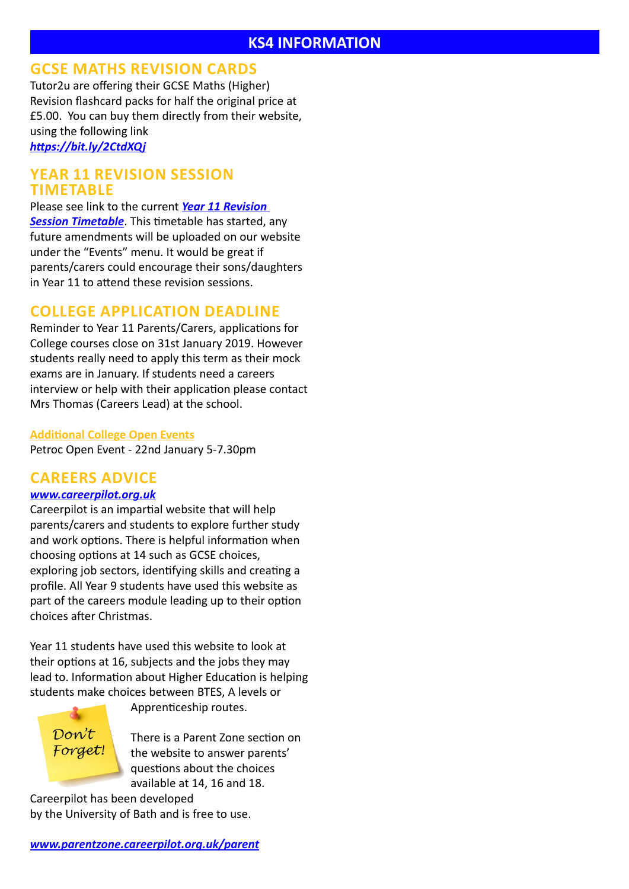## **GCSE MATHS REVISION CARDS**

Tutor2u are offering their GCSE Maths (Higher) Revision flashcard packs for half the original price at £5.00. You can buy them directly from their website, using the following link *<https://bit.ly/2CtdXQj>*

## **YEAR 11 REVISION SESSION TIMETABLE**

Please see link to the current *[Year 11 Revision](https://docs.google.com/document/d/1dNMh7-L1kyihGF64pufxK6rpksF0LmhP7VMcilHf7oM/edit?usp=sharing)  [Session Timetable](https://docs.google.com/document/d/1dNMh7-L1kyihGF64pufxK6rpksF0LmhP7VMcilHf7oM/edit?usp=sharing)*. This timetable has started, any future amendments will be uploaded on our website under the "Events" menu. It would be great if parents/carers could encourage their sons/daughters in Year 11 to attend these revision sessions.

## **COLLEGE APPLICATION DEADLINE**

Reminder to Year 11 Parents/Carers, applications for College courses close on 31st January 2019. However students really need to apply this term as their mock exams are in January. If students need a careers interview or help with their application please contact Mrs Thomas (Careers Lead) at the school.

## **Additional College Open Events**

Petroc Open Event - 22nd January 5-7.30pm

## **CAREERS ADVICE**

## *[www.careerpilot.org.uk](http://www.careerpilot.org.uk)*

Careerpilot is an impartial website that will help parents/carers and students to explore further study and work options. There is helpful information when choosing options at 14 such as GCSE choices, exploring job sectors, identifying skills and creating a profile. All Year 9 students have used this website as part of the careers module leading up to their option choices after Christmas.

Year 11 students have used this website to look at their options at 16, subjects and the jobs they may lead to. Information about Higher Education is helping students make choices between BTES, A levels or



Apprenticeship routes.

There is a Parent Zone section on the website to answer parents' questions about the choices available at 14, 16 and 18.

Careerpilot has been developed by the University of Bath and is free to use.